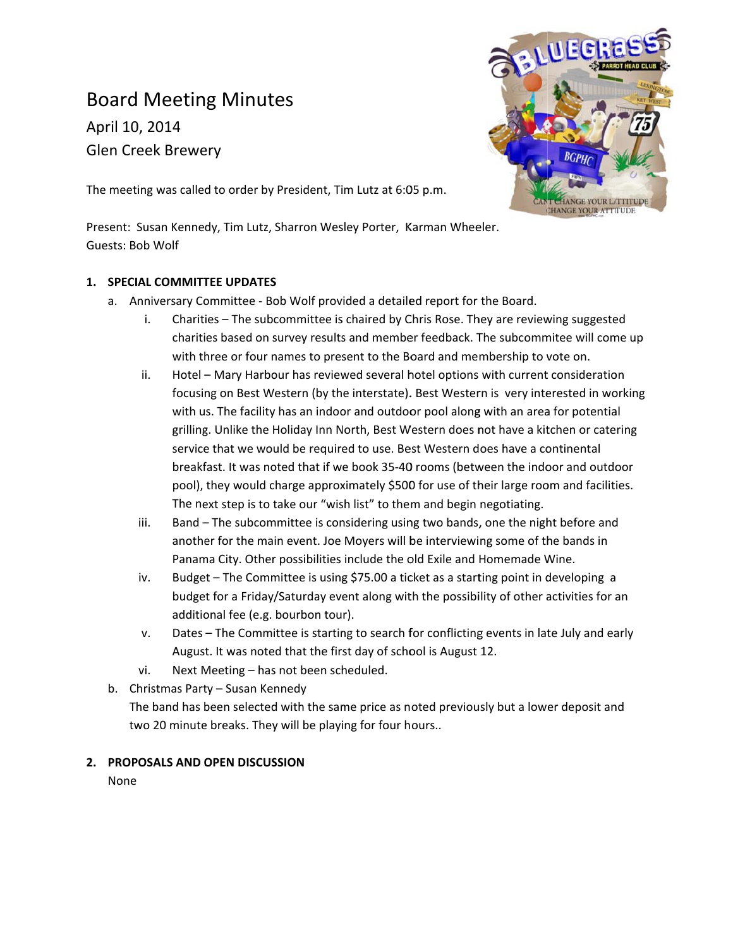# **Board Meeting Minutes**

April 10, 2014 **Glen Creek Brewery** 



The meeting was called to order by President, Tim Lutz at 6:05 p.m.

Present: Susan Kennedy, Tim Lutz, Sharron Wesley Porter, Karman Wheeler. Guests: Bob Wolf

# 1. SPECIAL COMMITTEE UPDATES

- a. Anniversary Committee Bob Wolf provided a detailed report for the Board.
	- Charities The subcommittee is chaired by Chris Rose. They are reviewing suggested i. charities based on survey results and member feedback. The subcommitee will come up with three or four names to present to the Board and membership to vote on.
	- Hotel Mary Harbour has reviewed several hotel options with current consideration ii. focusing on Best Western (by the interstate). Best Western is very interested in working with us. The facility has an indoor and outdoor pool along with an area for potential grilling. Unlike the Holiday Inn North, Best Western does not have a kitchen or catering service that we would be required to use. Best Western does have a continental breakfast. It was noted that if we book 35-40 rooms (between the indoor and outdoor pool), they would charge approximately \$500 for use of their large room and facilities. The next step is to take our "wish list" to them and begin negotiating.
	- iii. Band - The subcommittee is considering using two bands, one the night before and another for the main event. Joe Moyers will be interviewing some of the bands in Panama City. Other possibilities include the old Exile and Homemade Wine.
	- iv. Budget - The Committee is using \$75.00 a ticket as a starting point in developing a budget for a Friday/Saturday event along with the possibility of other activities for an additional fee (e.g. bourbon tour).
	- Dates The Committee is starting to search for conflicting events in late July and early V. August. It was noted that the first day of school is August 12.
	- Next Meeting has not been scheduled. vi.
- b. Christmas Party Susan Kennedy

The band has been selected with the same price as noted previously but a lower deposit and two 20 minute breaks. They will be playing for four hours..

#### 2. PROPOSALS AND OPEN DISCUSSION

None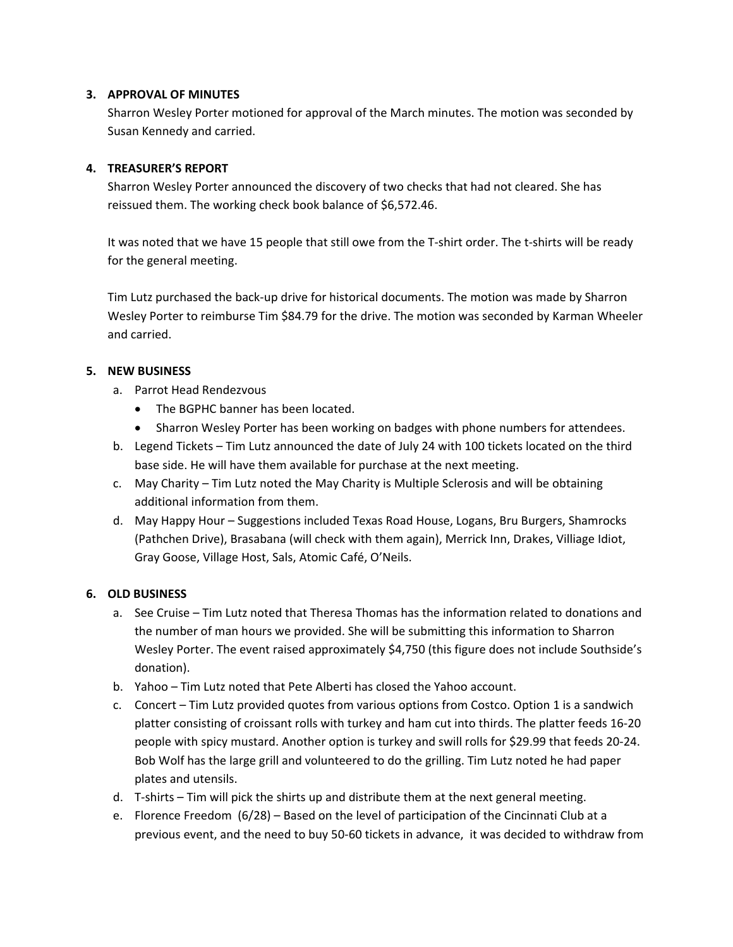#### **3. APPROVAL OF MINUTES**

Sharron Wesley Porter motioned for approval of the March minutes. The motion was seconded by Susan Kennedy and carried.

## **4. TREASURER'S REPORT**

Sharron Wesley Porter announced the discovery of two checks that had not cleared. She has reissued them. The working check book balance of \$6,572.46.

It was noted that we have 15 people that still owe from the T‐shirt order. The t‐shirts will be ready for the general meeting.

Tim Lutz purchased the back‐up drive for historical documents. The motion was made by Sharron Wesley Porter to reimburse Tim \$84.79 for the drive. The motion was seconded by Karman Wheeler and carried.

# **5. NEW BUSINESS**

- a. Parrot Head Rendezvous
	- The BGPHC banner has been located.
	- Sharron Wesley Porter has been working on badges with phone numbers for attendees.
- b. Legend Tickets Tim Lutz announced the date of July 24 with 100 tickets located on the third base side. He will have them available for purchase at the next meeting.
- c. May Charity Tim Lutz noted the May Charity is Multiple Sclerosis and will be obtaining additional information from them.
- d. May Happy Hour Suggestions included Texas Road House, Logans, Bru Burgers, Shamrocks (Pathchen Drive), Brasabana (will check with them again), Merrick Inn, Drakes, Villiage Idiot, Gray Goose, Village Host, Sals, Atomic Café, O'Neils.

# **6. OLD BUSINESS**

- a. See Cruise Tim Lutz noted that Theresa Thomas has the information related to donations and the number of man hours we provided. She will be submitting this information to Sharron Wesley Porter. The event raised approximately \$4,750 (this figure does not include Southside's donation).
- b. Yahoo Tim Lutz noted that Pete Alberti has closed the Yahoo account.
- c. Concert Tim Lutz provided quotes from various options from Costco. Option 1 is a sandwich platter consisting of croissant rolls with turkey and ham cut into thirds. The platter feeds 16‐20 people with spicy mustard. Another option is turkey and swill rolls for \$29.99 that feeds 20‐24. Bob Wolf has the large grill and volunteered to do the grilling. Tim Lutz noted he had paper plates and utensils.
- d. T-shirts Tim will pick the shirts up and distribute them at the next general meeting.
- e. Florence Freedom (6/28) Based on the level of participation of the Cincinnati Club at a previous event, and the need to buy 50‐60 tickets in advance, it was decided to withdraw from